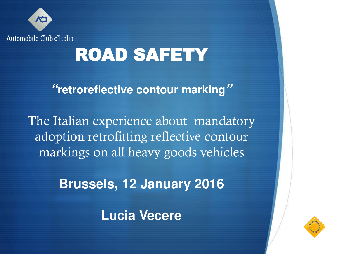

# ROAD SAFETY

*"***retroreflective contour marking***"*

The Italian experience about mandatory adoption retrofitting reflective contour markings on all heavy goods vehicles

**Brussels, 12 January 2016**

**Lucia Vecere** 

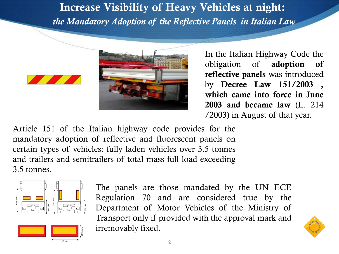**Increase Visibility of Heavy Vehicles at night:**  *the Mandatory Adoption of the Reflective Panels in Italian Law*





 In the Italian Highway Code the obligation of **adoption of reflective panels** was introduced by **Decree Law 151/2003 , which came into force in June 2003 and became law** (L. 214 /2003) in August of that year.

Article 151 of the Italian highway code provides for the mandatory adoption of reflective and fluorescent panels on certain types of vehicles: fully laden vehicles over 3.5 tonnes and trailers and semitrailers of total mass full load exceeding 3.5 tonnes.



The panels are those mandated by the UN ECE Regulation 70 and are considered true by the Department of Motor Vehicles of the Ministry of Transport only if provided with the approval mark and irremovably fixed.

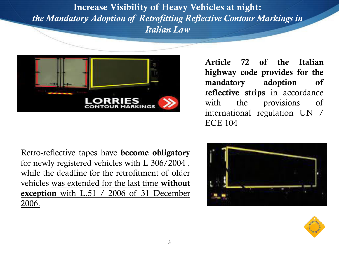**Increase Visibility of Heavy Vehicles at night:**  *the Mandatory Adoption of Retrofitting Reflective Contour Markings in Italian Law*



**Article 72 of the Italian highway code provides for the mandatory adoption of reflective strips** in accordance with the provisions of international regulation UN / ECE 104

Retro-reflective tapes have **become obligatory**  for newly registered vehicles with L 306/2004 , while the deadline for the retrofitment of older vehicles was extended for the last time **without exception** with L.51 / 2006 of 31 December 2006.



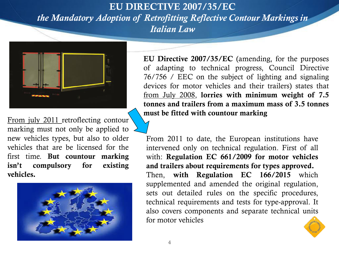### **EU DIRECTIVE 2007/35/EC**  *the Mandatory Adoption of Retrofitting Reflective Contour Markings in Italian Law*



From july 2011 retroflecting contour marking must not only be applied to new vehicles types, but also to older vehicles that are be licensed for the first time. **But countour marking isn't compulsory for existing vehicles.**



 **EU Directive 2007/35/EC** (amending, for the purposes of adapting to technical progress, Council Directive 76/756 / EEC on the subject of lighting and signaling devices for motor vehicles and their trailers) states that from July 2008, **lorries with minimum weight of 7.5 tonnes and trailers from a maximum mass of 3.5 tonnes must be fitted with countour marking** 

From 2011 to date, the European institutions have intervened only on technical regulation. First of all with: **Regulation EC 661/2009 for motor vehicles and trailers about requirements for types approved.**  Then, **with Regulation EC 166/2015** which supplemented and amended the original regulation, sets out detailed rules on the specific procedures, technical requirements and tests for type-approval. It also covers components and separate technical units for motor vehicles

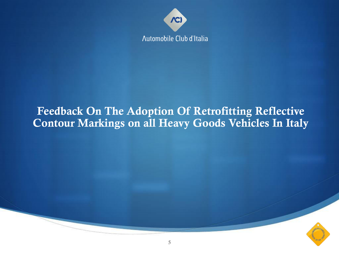

### **Feedback On The Adoption Of Retrofitting Reflective Contour Markings on all Heavy Goods Vehicles In Italy**

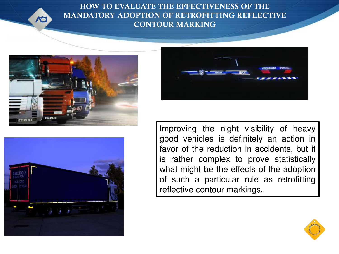

**HOW TO EVALUATE THE EFFECTIVENESS OF THE MANDATORY ADOPTION OF RETROFITTING REFLECTIVE CONTOUR MARKING**







Improving the night visibility of heavy good vehicles is definitely an action in favor of the reduction in accidents, but it is rather complex to prove statistically what might be the effects of the adoption of such a particular rule as retrofitting reflective contour markings.

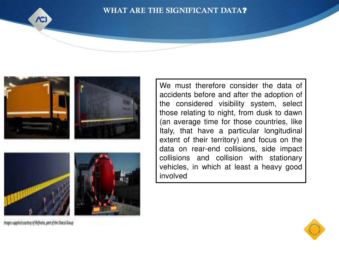

#### **WHAT ARE THE SIGNIFICANT DATA**?







Images supplied courtesy of Reflexite, part of the Oracal Group

**PROGETTI ACID-FIA "THE SECOND SUBARUM SECOND ACT ACCORD** THINK BIKE THIS CONTINUES, THIS ISLAMIC BIKE THE SECOND MA<br> **Italy**, that have a particular longitudinal We must therefore consider the data of accidents before and after the adoption of the considered visibility system, select those relating to night, from dusk to dawn (an average time for those countries, like extent of their territory) and focus on the data on rear-end collisions, side impact collisions and collision with stationary vehicles, in which at least a heavy good involved

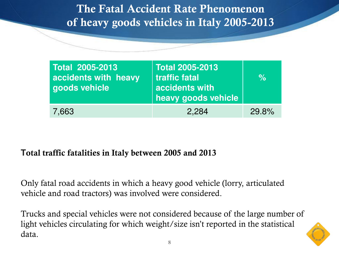**The Fatal Accident Rate Phenomenon of heavy goods vehicles in Italy 2005-2013** 

| Total 2005-2013<br>accidents with heavy<br>goods vehicle | <b>Total 2005-2013</b><br>traffic fatal<br>accidents with<br>heavy goods vehicle | $\%$  |
|----------------------------------------------------------|----------------------------------------------------------------------------------|-------|
| 7,663                                                    | 2,284                                                                            | 29.8% |

#### **Total traffic fatalities in Italy between 2005 and 2013**

Only fatal road accidents in which a heavy good vehicle (lorry, articulated vehicle and road tractors) was involved were considered.

Trucks and special vehicles were not considered because of the large number of light vehicles circulating for which weight/size isn't reported in the statistical data.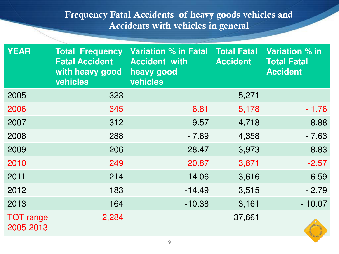#### **Frequency Fatal Accidents of heavy goods vehicles and Accidents with vehicles in general**

| <b>YEAR</b>                   | <b>Total Frequency</b><br><b>Fatal Accident</b><br>with heavy good<br>vehicles | <b>Variation % in Fatal</b><br><b>Accident with</b><br>heavy good<br><b>vehicles</b> | <b>Total Fatal</b><br><b>Accident</b> | Variation % in<br><b>Total Fatal</b><br><b>Accident</b> |
|-------------------------------|--------------------------------------------------------------------------------|--------------------------------------------------------------------------------------|---------------------------------------|---------------------------------------------------------|
| 2005                          | 323                                                                            |                                                                                      | 5,271                                 |                                                         |
| 2006                          | 345                                                                            | 6.81                                                                                 | 5,178                                 | $-1.76$                                                 |
| 2007                          | 312                                                                            | $-9.57$                                                                              | 4,718                                 | $-8.88$                                                 |
| 2008                          | 288                                                                            | $-7.69$                                                                              | 4,358                                 | $-7.63$                                                 |
| 2009                          | 206                                                                            | $-28.47$                                                                             | 3,973                                 | $-8.83$                                                 |
| 2010                          | 249                                                                            | 20.87                                                                                | 3,871                                 | $-2.57$                                                 |
| 2011                          | 214                                                                            | $-14.06$                                                                             | 3,616                                 | $-6.59$                                                 |
| 2012                          | 183                                                                            | $-14.49$                                                                             | 3,515                                 | $-2.79$                                                 |
| 2013                          | 164                                                                            | $-10.38$                                                                             | 3,161                                 | $-10.07$                                                |
| <b>TOT</b> range<br>2005-2013 | 2,284                                                                          |                                                                                      | 37,661                                |                                                         |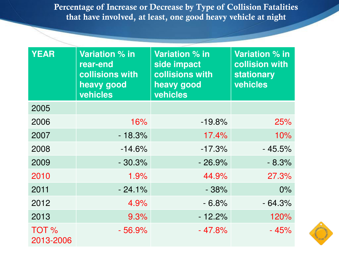**Percentage of Increase or Decrease by Type of Collision Fatalities that have involved, at least, one good heavy vehicle at night**

| <b>YEAR</b>                   | Variation % in<br>rear-end<br>collisions with<br>heavy good<br>vehicles | <b>Variation % in</b><br>side impact<br>collisions with<br>heavy good<br>vehicles | Variation % in<br>collision with<br><b>stationary</b><br><b>vehicles</b> |
|-------------------------------|-------------------------------------------------------------------------|-----------------------------------------------------------------------------------|--------------------------------------------------------------------------|
| 2005                          |                                                                         |                                                                                   |                                                                          |
| 2006                          | 16%                                                                     | $-19.8%$                                                                          | 25%                                                                      |
| 2007                          | $-18.3%$                                                                | 17.4%                                                                             | 10%                                                                      |
| 2008                          | $-14.6%$                                                                | $-17.3%$                                                                          | $-45.5%$                                                                 |
| 2009                          | $-30.3%$                                                                | $-26.9\%$                                                                         | $-8.3%$                                                                  |
| 2010                          | 1.9%                                                                    | 44.9%                                                                             | 27.3%                                                                    |
| 2011                          | $-24.1%$                                                                | $-38%$                                                                            | $0\%$                                                                    |
| 2012                          | 4.9%                                                                    | $-6.8%$                                                                           | $-64.3%$                                                                 |
| 2013                          | 9.3%                                                                    | $-12.2%$                                                                          | 120%                                                                     |
| TOT <sub>%</sub><br>2013-2006 | - 56.9%                                                                 | $-47.8%$                                                                          | $-45%$                                                                   |

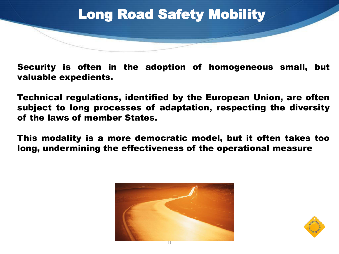

Security is often in the adoption of homogeneous small, but valuable expedients.

Technical regulations, identified by the European Union, are often subject to long processes of adaptation, respecting the diversity of the laws of member States.

This modality is a more democratic model, but it often takes too long, undermining the effectiveness of the operational measure



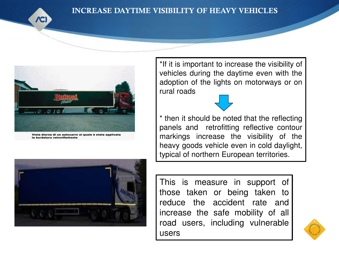

#### **INCREASE DAYTIME VISIBILITY OF HEAVY VEHIC**



Vista diurna di un autocarro al quale è stata applicata la bordatura retrorifiettente



\*If it is important to increase the visibility of vehicles during the daytime even with the adoption of the lights on motorways or on rural roads



**PROGETTI ACT ACT EXAMPLE THE READ EXAMPLE THE RIGHTS**  $\blacksquare$  panels and retrofitting reflective contour \* then it should be noted that the reflecting markings increase the visibility of the heavy goods vehicle even in cold daylight, typical of northern European territories.

> This is measure in support of those taken or being taken to reduce the accident rate and increase the safe mobility of all road users, including vulnerable users

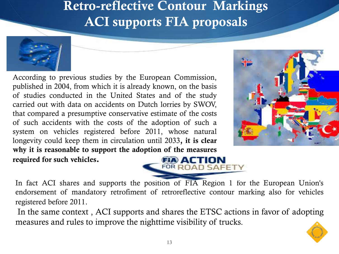## **Retro-reflective Contour Markings ACI supports FIA proposals**



According to previous studies by the European Commission, published in 2004, from which it is already known, on the basis of studies conducted in the United States and of the study carried out with data on accidents on Dutch lorries by SWOV, that compared a presumptive conservative estimate of the costs of such accidents with the costs of the adoption of such a system on vehicles registered before 2011, whose natural longevity could keep them in circulation until 2033**, it is clear why it is reasonable to support the adoption of the measures required for such vehicles.** 





In fact ACI shares and supports the position of FIA Region 1 for the European Union's endorsement of mandatory retrofiment of retroreflective contour marking also for vehicles registered before 2011.

In the same context , ACI supports and shares the ETSC actions in favor of adopting measures and rules to improve the nighttime visibility of trucks.

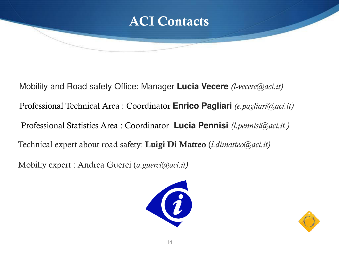

 Mobility and Road safety Office: Manager **Lucia Vecere** *(l-vecere@aci.it)* Professional Technical Area : Coordinator **Enrico Pagliari** *(e.pagliari@aci.it)* Professional Statistics Area : Coordinator **Lucia Pennisi** *(l.pennisi@aci.it )*  Technical expert about road safety: **Luigi Di Matteo** (*l.dimatteo@aci.it)* 

Mobiliy expert : Andrea Guerci (*a.guerci@aci.it)*